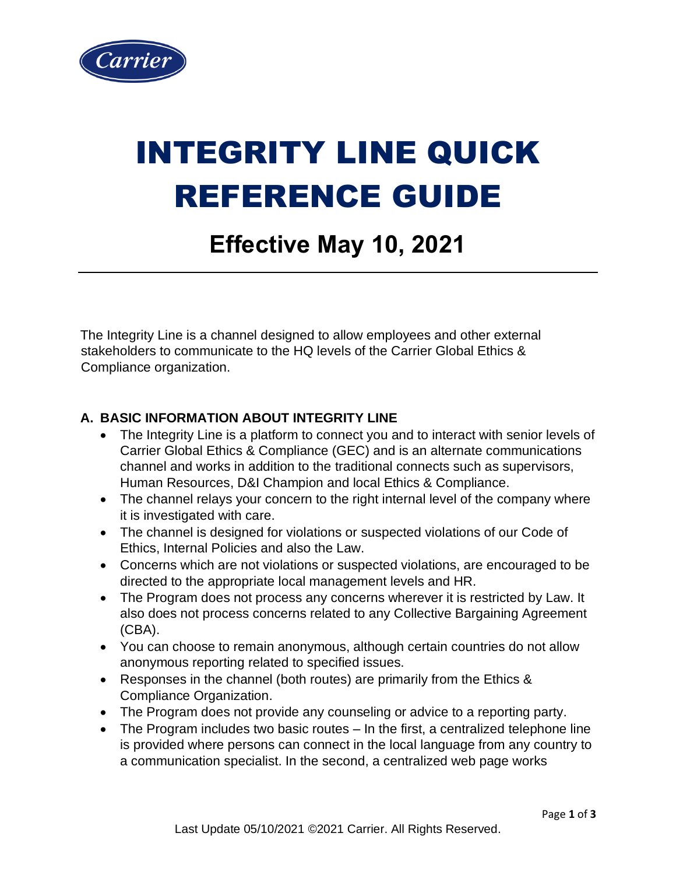

# INTEGRITY LINE QUICK REFERENCE GUIDE

## **Effective May 10, 2021**

The Integrity Line is a channel designed to allow employees and other external stakeholders to communicate to the HQ levels of the Carrier Global Ethics & Compliance organization.

#### **A. BASIC INFORMATION ABOUT INTEGRITY LINE**

- The Integrity Line is a platform to connect you and to interact with senior levels of Carrier Global Ethics & Compliance (GEC) and is an alternate communications channel and works in addition to the traditional connects such as supervisors, Human Resources, D&I Champion and local Ethics & Compliance.
- The channel relays your concern to the right internal level of the company where it is investigated with care.
- The channel is designed for violations or suspected violations of our Code of Ethics, Internal Policies and also the Law.
- Concerns which are not violations or suspected violations, are encouraged to be directed to the appropriate local management levels and HR.
- The Program does not process any concerns wherever it is restricted by Law. It also does not process concerns related to any Collective Bargaining Agreement (CBA).
- You can choose to remain anonymous, although certain countries do not allow anonymous reporting related to specified issues.
- Responses in the channel (both routes) are primarily from the Ethics & Compliance Organization.
- The Program does not provide any counseling or advice to a reporting party.
- The Program includes two basic routes In the first, a centralized telephone line is provided where persons can connect in the local language from any country to a communication specialist. In the second, a centralized web page works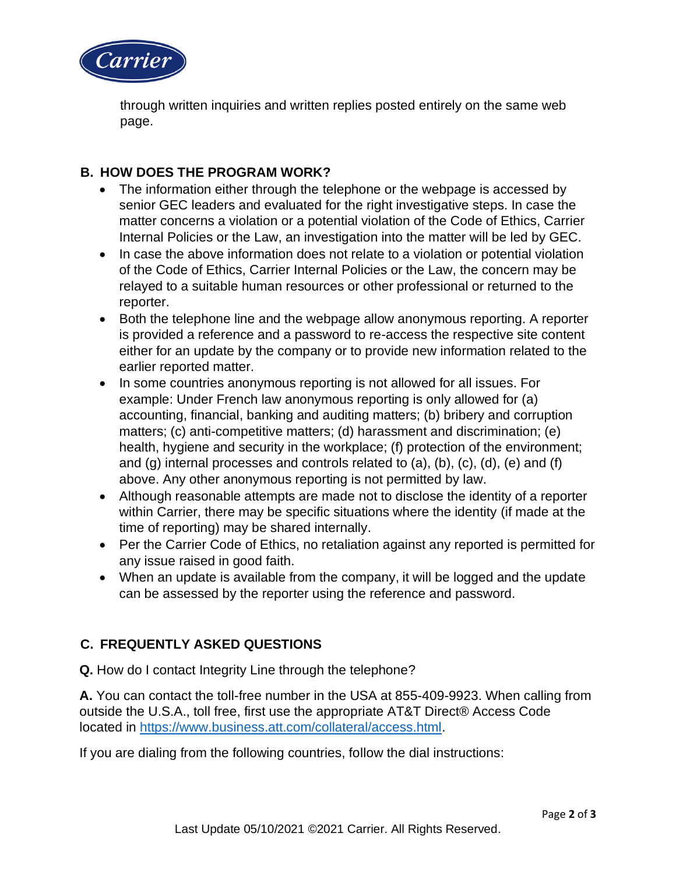

through written inquiries and written replies posted entirely on the same web page.

#### **B. HOW DOES THE PROGRAM WORK?**

- The information either through the telephone or the webpage is accessed by senior GEC leaders and evaluated for the right investigative steps. In case the matter concerns a violation or a potential violation of the Code of Ethics, Carrier Internal Policies or the Law, an investigation into the matter will be led by GEC.
- In case the above information does not relate to a violation or potential violation of the Code of Ethics, Carrier Internal Policies or the Law, the concern may be relayed to a suitable human resources or other professional or returned to the reporter.
- Both the telephone line and the webpage allow anonymous reporting. A reporter is provided a reference and a password to re-access the respective site content either for an update by the company or to provide new information related to the earlier reported matter.
- In some countries anonymous reporting is not allowed for all issues. For example: Under French law anonymous reporting is only allowed for (a) accounting, financial, banking and auditing matters; (b) bribery and corruption matters; (c) anti-competitive matters; (d) harassment and discrimination; (e) health, hygiene and security in the workplace; (f) protection of the environment; and  $(q)$  internal processes and controls related to  $(a)$ ,  $(b)$ ,  $(c)$ ,  $(d)$ ,  $(e)$  and  $(f)$ above. Any other anonymous reporting is not permitted by law.
- Although reasonable attempts are made not to disclose the identity of a reporter within Carrier, there may be specific situations where the identity (if made at the time of reporting) may be shared internally.
- Per the Carrier Code of Ethics, no retaliation against any reported is permitted for any issue raised in good faith.
- When an update is available from the company, it will be logged and the update can be assessed by the reporter using the reference and password.

### **C. FREQUENTLY ASKED QUESTIONS**

**Q.** How do I contact Integrity Line through the telephone?

**A.** You can contact the toll-free number in the USA at 855-409-9923. When calling from outside the U.S.A., toll free, first use the appropriate AT&T Direct® Access Code located in [https://www.business.att.com/collateral/access.html.](https://www.business.att.com/collateral/access.html)

If you are dialing from the following countries, follow the dial instructions: